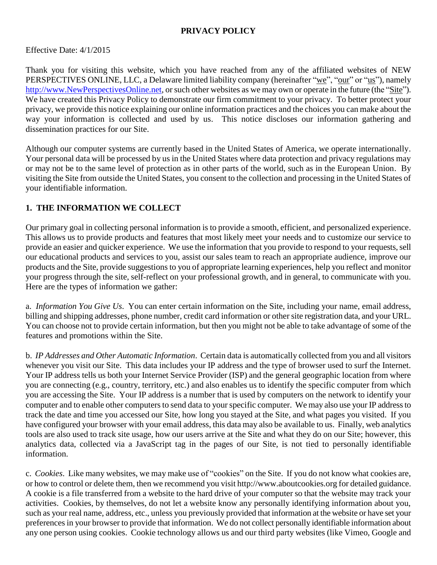### **PRIVACY POLICY**

Effective Date: 4/1/2015

Thank you for visiting this website, which you have reached from any of the affiliated websites of NEW PERSPECTIVES ONLINE, LLC, a Delaware limited liability company (hereinafter "we", "our" or "us"), namely [http://www.NewPerspectivesOnline.net,](http://www.newperspectivesonline.net/) or such other websites as we may own or operate in the future (the "Site"). We have created this Privacy Policy to demonstrate our firm commitment to your privacy. To better protect your privacy, we provide this notice explaining our online information practices and the choices you can make about the way your information is collected and used by us. This notice discloses our information gathering and dissemination practices for our Site.

Although our computer systems are currently based in the United States of America, we operate internationally. Your personal data will be processed by us in the United States where data protection and privacy regulations may or may not be to the same level of protection as in other parts of the world, such as in the European Union. By visiting the Site from outside the United States, you consent to the collection and processing in the United States of your identifiable information.

### **1. THE INFORMATION WE COLLECT**

Our primary goal in collecting personal information is to provide a smooth, efficient, and personalized experience. This allows us to provide products and features that most likely meet your needs and to customize our service to provide an easier and quicker experience. We use the information that you provide to respond to your requests, sell our educational products and services to you, assist our sales team to reach an appropriate audience, improve our products and the Site, provide suggestions to you of appropriate learning experiences, help you reflect and monitor your progress through the site, self-reflect on your professional growth, and in general, to communicate with you. Here are the types of information we gather:

a. *Information You Give Us*. You can enter certain information on the Site, including your name, email address, billing and shipping addresses, phone number, credit card information or other site registration data, and your URL. You can choose not to provide certain information, but then you might not be able to take advantage of some of the features and promotions within the Site.

b. *IP Addresses and Other Automatic Information*. Certain data is automatically collected from you and all visitors whenever you visit our Site. This data includes your IP address and the type of browser used to surf the Internet. Your IP address tells us both your Internet Service Provider (ISP) and the general geographic location from where you are connecting (e.g., country, territory, etc.) and also enables us to identify the specific computer from which you are accessing the Site. Your IP address is a number that is used by computers on the network to identify your computer and to enable other computers to send data to your specific computer. We may also use your IP address to track the date and time you accessed our Site, how long you stayed at the Site, and what pages you visited. If you have configured your browser with your email address, this data may also be available to us. Finally, web analytics tools are also used to track site usage, how our users arrive at the Site and what they do on our Site; however, this analytics data, collected via a JavaScript tag in the pages of our Site, is not tied to personally identifiable information.

c. *Cookies*. Like many websites, we may make use of "cookies" on the Site. If you do not know what cookies are, or how to control or delete them, then we recommend you visit http://www.aboutcookies.org for detailed guidance. A cookie is a file transferred from a website to the hard drive of your computer so that the website may track your activities. Cookies, by themselves, do not let a website know any personally identifying information about you, such as your real name, address, etc., unless you previously provided that information at the website or have set your preferences in your browser to provide that information. We do not collect personally identifiable information about any one person using cookies. Cookie technology allows us and our third party websites (like Vimeo, Google and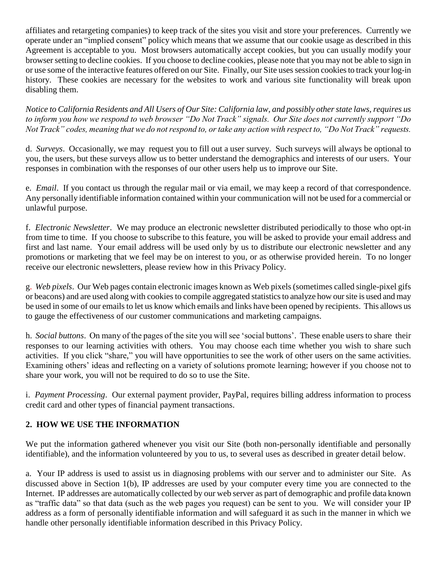affiliates and retargeting companies) to keep track of the sites you visit and store your preferences. Currently we operate under an "implied consent" policy which means that we assume that our cookie usage as described in this Agreement is acceptable to you. Most browsers automatically accept cookies, but you can usually modify your browser setting to decline cookies. If you choose to decline cookies, please note that you may not be able to sign in or use some of the interactive features offered on our Site. Finally, our Site usessession cookiesto track your log-in history. These cookies are necessary for the websites to work and various site functionality will break upon disabling them.

*Notice to California Residents and All Users of Our Site: California law, and possibly other state laws, requires us to inform you how we respond to web browser "Do Not Track" signals. Our Site does not currently support "Do Not Track" codes, meaning that we do not respond to, or take any action with respect to, "Do Not Track" requests.* 

d. *Surveys*. Occasionally, we may request you to fill out a user survey. Such surveys will always be optional to you, the users, but these surveys allow us to better understand the demographics and interests of our users. Your responses in combination with the responses of our other users help us to improve our Site.

e. *Email*. If you contact us through the regular mail or via email, we may keep a record of that correspondence. Any personally identifiable information contained within your communication will not be used for a commercial or unlawful purpose.

f. *Electronic Newsletter*. We may produce an electronic newsletter distributed periodically to those who opt-in from time to time. If you choose to subscribe to this feature, you will be asked to provide your email address and first and last name. Your email address will be used only by us to distribute our electronic newsletter and any promotions or marketing that we feel may be on interest to you, or as otherwise provided herein. To no longer receive our electronic newsletters, please review how in this Privacy Policy.

g. *Web pixels*. Our Web pages contain electronic images known as Web pixels (sometimes called single-pixel gifs or beacons) and are used along with cookies to compile aggregated statistics to analyze how our site is used and may be used in some of our emails to let us know which emails and links have been opened by recipients. This allows us to gauge the effectiveness of our customer communications and marketing campaigns.

h. *Social buttons*. On many of the pages of the site you will see 'social buttons'. These enable users to share their responses to our learning activities with others. You may choose each time whether you wish to share such activities. If you click "share," you will have opportunities to see the work of other users on the same activities. Examining others' ideas and reflecting on a variety of solutions promote learning; however if you choose not to share your work, you will not be required to do so to use the Site.

i. *Payment Processing*. Our external payment provider, PayPal, requires billing address information to process credit card and other types of financial payment transactions.

### **2. HOW WE USE THE INFORMATION**

We put the information gathered whenever you visit our Site (both non-personally identifiable and personally identifiable), and the information volunteered by you to us, to several uses as described in greater detail below.

a. Your IP address is used to assist us in diagnosing problems with our server and to administer our Site. As discussed above in Section 1(b), IP addresses are used by your computer every time you are connected to the Internet. IP addresses are automatically collected by our web server as part of demographic and profile data known as "traffic data" so that data (such as the web pages you request) can be sent to you. We will consider your IP address as a form of personally identifiable information and will safeguard it as such in the manner in which we handle other personally identifiable information described in this Privacy Policy.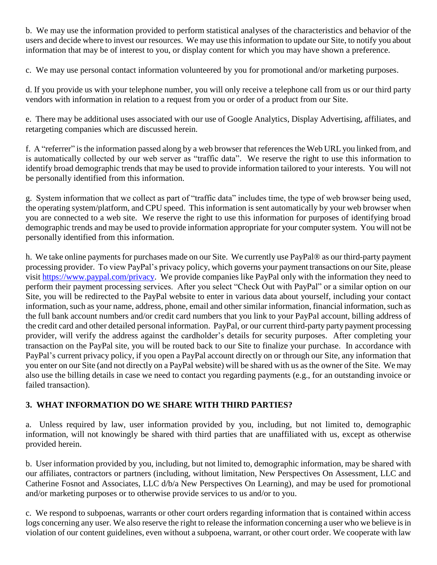b. We may use the information provided to perform statistical analyses of the characteristics and behavior of the users and decide where to invest our resources. We may use this information to update our Site, to notify you about information that may be of interest to you, or display content for which you may have shown a preference.

c. We may use personal contact information volunteered by you for promotional and/or marketing purposes.

d. If you provide us with your telephone number, you will only receive a telephone call from us or our third party vendors with information in relation to a request from you or order of a product from our Site.

e. There may be additional uses associated with our use of Google Analytics, Display Advertising, affiliates, and retargeting companies which are discussed herein.

f. A "referrer" is the information passed along by a web browser that references the Web URL you linked from, and is automatically collected by our web server as "traffic data". We reserve the right to use this information to identify broad demographic trends that may be used to provide information tailored to your interests. You will not be personally identified from this information.

g. System information that we collect as part of "traffic data" includes time, the type of web browser being used, the operating system/platform, and CPU speed. This information is sent automatically by your web browser when you are connected to a web site. We reserve the right to use this information for purposes of identifying broad demographic trends and may be used to provide information appropriate for your computer system. You will not be personally identified from this information.

h. We take online payments for purchases made on our Site. We currently use PayPal® as our third-party payment processing provider. To view PayPal's privacy policy, which governs your payment transactions on our Site, please visit [https://www.paypal.com/privacy.](https://www.paypal.com/privacy) We provide companies like PayPal only with the information they need to perform their payment processing services. After you select "Check Out with PayPal" or a similar option on our Site, you will be redirected to the PayPal website to enter in various data about yourself, including your contact information, such as your name, address, phone, email and other similar information, financial information, such as the full bank account numbers and/or credit card numbers that you link to your PayPal account, billing address of the credit card and other detailed personal information. PayPal, or our current third-party party payment processing provider, will verify the address against the cardholder's details for security purposes. After completing your transaction on the PayPal site, you will be routed back to our Site to finalize your purchase. In accordance with PayPal's current privacy policy, if you open a PayPal account directly on or through our Site, any information that you enter on our Site (and not directly on a PayPal website) will be shared with us as the owner of the Site. We may also use the billing details in case we need to contact you regarding payments (e.g., for an outstanding invoice or failed transaction).

# **3. WHAT INFORMATION DO WE SHARE WITH THIRD PARTIES?**

a. Unless required by law, user information provided by you, including, but not limited to, demographic information, will not knowingly be shared with third parties that are unaffiliated with us, except as otherwise provided herein.

b. User information provided by you, including, but not limited to, demographic information, may be shared with our affiliates, contractors or partners (including, without limitation, New Perspectives On Assessment, LLC and Catherine Fosnot and Associates, LLC d/b/a New Perspectives On Learning), and may be used for promotional and/or marketing purposes or to otherwise provide services to us and/or to you.

c. We respond to subpoenas, warrants or other court orders regarding information that is contained within access logs concerning any user. We also reserve the right to release the information concerning a user who we believe is in violation of our content guidelines, even without a subpoena, warrant, or other court order. We cooperate with law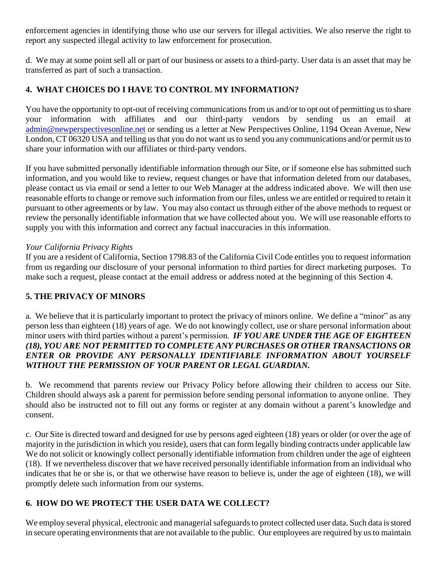enforcement agencies in identifying those who use our servers for illegal activities. We also reserve the right to report any suspected illegal activity to law enforcement for prosecution.

d. We may at some point sell all or part of our business or assets to a third-party. User data is an asset that may be transferred as part of such a transaction.

## **4. WHAT CHOICES DO I HAVE TO CONTROL MY INFORMATION?**

You have the opportunity to opt-out of receiving communications from us and/or to opt out of permitting us to share your information with affiliates and our third-party vendors by sending us an email at [admin@newperspectivesonline.net](mailto:admin@newperspectivesonline.net) or sending us a letter at New Perspectives Online, 1194 Ocean Avenue, New London, CT 06320 USA and telling us that you do not want us to send you any communications and/or permit us to share your information with our affiliates or third-party vendors.

If you have submitted personally identifiable information through our Site, or if someone else has submitted such information, and you would like to review, request changes or have that information deleted from our databases, please contact us via email or send a letter to our Web Manager at the address indicated above. We will then use reasonable efforts to change or remove such information from our files, unless we are entitled or required to retain it pursuant to other agreements or by law. You may also contact us through either of the above methods to request or review the personally identifiable information that we have collected about you. We will use reasonable efforts to supply you with this information and correct any factual inaccuracies in this information.

#### *Your California Privacy Rights*

If you are a resident of California, Section 1798.83 of the California Civil Code entitles you to request information from us regarding our disclosure of your personal information to third parties for direct marketing purposes. To make such a request, please contact at the email address or address noted at the beginning of this Section 4.

### **5. THE PRIVACY OF MINORS**

a. We believe that it is particularly important to protect the privacy of minors online. We define a "minor" as any person less than eighteen (18) years of age. We do not knowingly collect, use or share personal information about minor users with third parties without a parent's permission. *IF YOU ARE UNDER THE AGE OF EIGHTEEN (18), YOU ARE NOT PERMITTED TO COMPLETE ANY PURCHASES OR OTHER TRANSACTIONS OR ENTER OR PROVIDE ANY PERSONALLY IDENTIFIABLE INFORMATION ABOUT YOURSELF WITHOUT THE PERMISSION OF YOUR PARENT OR LEGAL GUARDIAN.*

b. We recommend that parents review our Privacy Policy before allowing their children to access our Site. Children should always ask a parent for permission before sending personal information to anyone online. They should also be instructed not to fill out any forms or register at any domain without a parent's knowledge and consent.

c. Our Site is directed toward and designed for use by persons aged eighteen (18) years or older (or over the age of majority in the jurisdiction in which you reside), users that can form legally binding contracts under applicable law We do not solicit or knowingly collect personally identifiable information from children under the age of eighteen (18). If we nevertheless discover that we have received personally identifiable information from an individual who indicates that he or she is, or that we otherwise have reason to believe is, under the age of eighteen (18), we will promptly delete such information from our systems.

### **6. HOW DO WE PROTECT THE USER DATA WE COLLECT?**

We employ several physical, electronic and managerial safeguards to protect collected user data. Such data is stored in secure operating environments that are not available to the public. Our employees are required by us to maintain